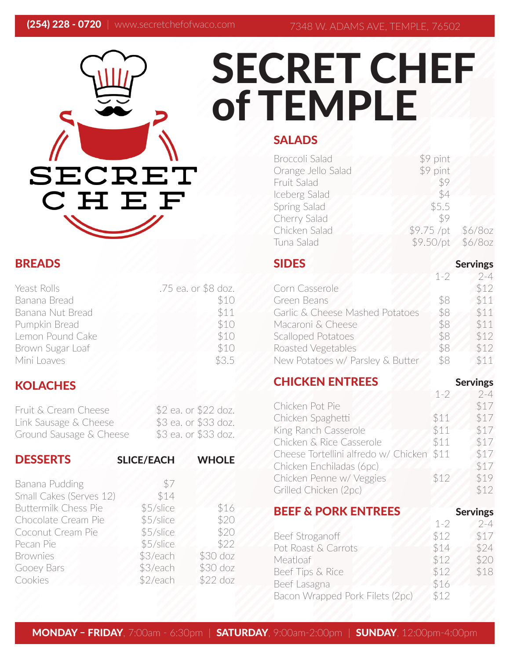# SECRET CHEF of TEMPLE SECRET CHEF

## BREADS

| Yeast Rolls      | .75 ea. or \$8 doz. |
|------------------|---------------------|
| Banana Bread     | \$10                |
| Banana Nut Bread | \$11                |
| Pumpkin Bread    | \$10                |
| Lemon Pound Cake | \$10                |
| Brown Sugar Loaf | \$10                |
| Mini Loaves      | \$3.5               |

## **KOLACHES**

| Fruit & Cream Cheese    | \$2 ea. or \$22 doz. |
|-------------------------|----------------------|
| Link Sausage & Cheese   | \$3 ea. or \$33 doz. |
| Ground Sausage & Cheese | \$3 ea. or \$33 doz. |

| <b>DESSERTS</b>             | <b>SLICE/EACH</b> | <b>WHOLE</b> |
|-----------------------------|-------------------|--------------|
| Banana Pudding              | \$7               |              |
| Small Cakes (Serves 12)     | \$14              |              |
| <b>Buttermilk Chess Pie</b> | \$5/slice         | \$16         |
| Chocolate Cream Pie         | \$5/slice         | \$20         |
| Coconut Cream Pie           | \$5/slice         | \$20         |
| Pecan Pie                   | \$5/slice         | \$22         |
| <b>Brownies</b>             | \$3/each          | \$30 doz     |
| Gooey Bars                  | \$3/each          | \$30 doz     |
| Cookies                     | \$2/each          | $$22$ doz    |

## SALADS

| <b>Broccoli Salad</b> | \$9 pint   |         |
|-----------------------|------------|---------|
| Orange Jello Salad    | \$9 pint   |         |
| Fruit Salad           | \$9        |         |
| Iceberg Salad         | \$4        |         |
| Spring Salad          | \$5.5      |         |
| Cherry Salad          | \$9        |         |
| Chicken Salad         | \$9.75 /pt | \$6/8oz |
| Tuna Salad            | \$9.50/pt  | \$6/8oz |
|                       |            |         |

#### SIDES Servings  $1-2$  2-4 Corn Casserole \$12 Green Beans \$8 \$11 Garlic & Cheese Mashed Potatoes \$8 \$11 Macaroni & Cheese 58 \$11 Scalloped Potatoes \$8 \$12 Roasted Vegetables \$8 \$12 New Potatoes w/ Parsley & Butter \$8 \$11

## **CHICKEN ENTREES** Servings

|                                           | $1 - 2$ | $2 - 4$  |
|-------------------------------------------|---------|----------|
| Chicken Pot Pie                           |         | \$17     |
| Chicken Spaghetti                         | \$11    | \$17     |
| King Ranch Casserole                      | \$11    | \$17     |
| Chicken & Rice Casserole                  | \$11    | \$17     |
| Cheese Tortellini alfredo w/ Chicken \$11 |         | \$17     |
| Chicken Enchiladas (6pc)                  |         | \$17     |
| Chicken Penne w/ Veggies                  | \$12    | \$19     |
| Grilled Chicken (2pc)                     |         | \$12     |
| <b>REFE &amp; DODK ENTREFS</b>            |         | Confinac |

| DLLI GI VINI LIIILLY            |         | JUNIII53 |
|---------------------------------|---------|----------|
|                                 | $1 - 2$ | $2 - 4$  |
| Beef Stroganoff                 | \$12    | \$17     |
| Pot Roast & Carrots             | \$14    | \$24     |
| Meatloaf                        | \$12    | \$20     |
| Beef Tips & Rice                | \$12    | \$18     |
| Beef Lasagna                    | \$16    |          |
| Bacon Wrapped Pork Filets (2pc) | \$12    |          |